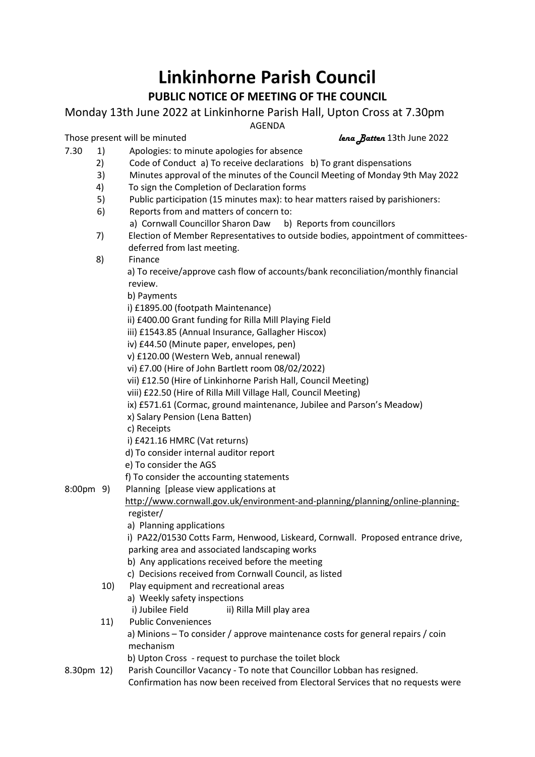## **Linkinhorne Parish Council**

## **PUBLIC NOTICE OF MEETING OF THE COUNCIL**

Monday 13th June 2022 at Linkinhorne Parish Hall, Upton Cross at 7.30pm

AGENDA

Those present will be minuted *lena Batten* 13th June 2022

- 7.30 1) Apologies: to minute apologies for absence
	- 2) Code of Conduct a) To receive declarations b) To grant dispensations
	- 3) Minutes approval of the minutes of the Council Meeting of Monday 9th May 2022
	- 4) To sign the Completion of Declaration forms
	- 5) Public participation (15 minutes max): to hear matters raised by parishioners:
	- 6) Reports from and matters of concern to:
		- a) Cornwall Councillor Sharon Daw b) Reports from councillors
	- 7) Election of Member Representatives to outside bodies, appointment of committeesdeferred from last meeting.
	- 8) Finance

 a) To receive/approve cash flow of accounts/bank reconciliation/monthly financial review.

b) Payments

i) £1895.00 (footpath Maintenance)

ii) £400.00 Grant funding for Rilla Mill Playing Field

iii) £1543.85 (Annual Insurance, Gallagher Hiscox)

- iv) £44.50 (Minute paper, envelopes, pen)
- v) £120.00 (Western Web, annual renewal)
- vi) £7.00 (Hire of John Bartlett room 08/02/2022)
- vii) £12.50 (Hire of Linkinhorne Parish Hall, Council Meeting)
- viii) £22.50 (Hire of Rilla Mill Village Hall, Council Meeting)
- ix) £571.61 (Cormac, ground maintenance, Jubilee and Parson's Meadow)
- x) Salary Pension (Lena Batten)
- c) Receipts
- i) £421.16 HMRC (Vat returns)
- d) To consider internal auditor report
- e) To consider the AGS
- f) To consider the accounting statements
- 8:00pm 9) Planning [please view applications at

## [http://www.cornwall.gov.uk/environment-and-planning/planning/online-planning](http://www.cornwall.gov.uk/environment-and-planning/planning/online-planning-)register/

a) Planning applications

 i) PA22/01530 Cotts Farm, Henwood, Liskeard, Cornwall. Proposed entrance drive, parking area and associated landscaping works

- b) Any applications received before the meeting
- c) Decisions received from Cornwall Council, as listed
- 10) Play equipment and recreational areas
	- a) Weekly safety inspections
	- i) Jubilee Field ii) Rilla Mill play area
- 11) Public Conveniences
	- a) Minions To consider / approve maintenance costs for general repairs / coin mechanism
	- b) Upton Cross request to purchase the toilet block
- 8.30pm 12) Parish Councillor Vacancy To note that Councillor Lobban has resigned. Confirmation has now been received from Electoral Services that no requests were